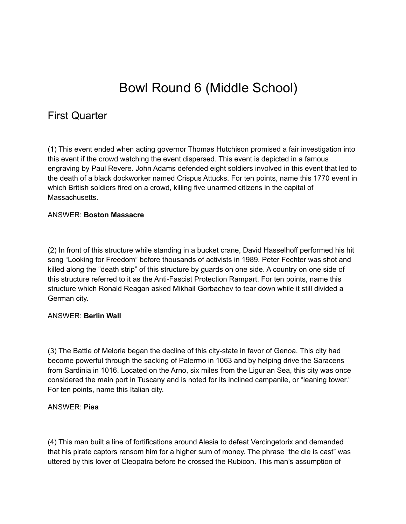# Bowl Round 6 (Middle School)

# First Quarter

(1) This event ended when acting governor Thomas Hutchison promised a fair investigation into this event if the crowd watching the event dispersed. This event is depicted in a famous engraving by Paul Revere. John Adams defended eight soldiers involved in this event that led to the death of a black dockworker named Crispus Attucks. For ten points, name this 1770 event in which British soldiers fired on a crowd, killing five unarmed citizens in the capital of Massachusetts.

# ANSWER: **Boston Massacre**

(2) In front of this structure while standing in a bucket crane, David Hasselhoff performed his hit song "Looking for Freedom" before thousands of activists in 1989. Peter Fechter was shot and killed along the "death strip" of this structure by guards on one side. A country on one side of this structure referred to it as the Anti-Fascist Protection Rampart. For ten points, name this structure which Ronald Reagan asked Mikhail Gorbachev to tear down while it still divided a German city.

### ANSWER: **Berlin Wall**

(3) The Battle of Meloria began the decline of this city-state in favor of Genoa. This city had become powerful through the sacking of Palermo in 1063 and by helping drive the Saracens from Sardinia in 1016. Located on the Arno, six miles from the Ligurian Sea, this city was once considered the main port in Tuscany and is noted for its inclined campanile, or "leaning tower." For ten points, name this Italian city.

### ANSWER: **Pisa**

(4) This man built a line of fortifications around Alesia to defeat Vercingetorix and demanded that his pirate captors ransom him for a higher sum of money. The phrase "the die is cast" was uttered by this lover of Cleopatra before he crossed the Rubicon. This man's assumption of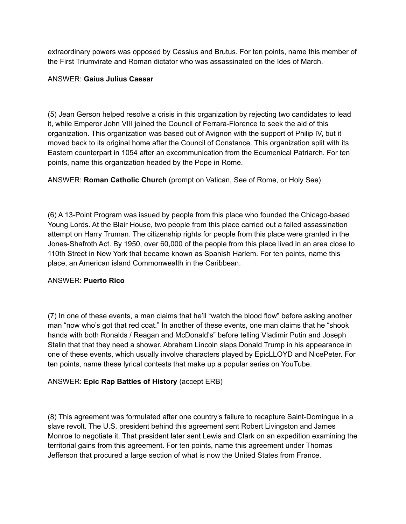extraordinary powers was opposed by Cassius and Brutus. For ten points, name this member of the First Triumvirate and Roman dictator who was assassinated on the Ides of March.

### ANSWER: **Gaius Julius Caesar**

(5) Jean Gerson helped resolve a crisis in this organization by rejecting two candidates to lead it, while Emperor John VIII joined the Council of Ferrara-Florence to seek the aid of this organization. This organization was based out of Avignon with the support of Philip IV, but it moved back to its original home after the Council of Constance. This organization split with its Eastern counterpart in 1054 after an excommunication from the Ecumenical Patriarch. For ten points, name this organization headed by the Pope in Rome.

ANSWER: **Roman Catholic Church** (prompt on Vatican, See of Rome, or Holy See)

(6) A 13-Point Program was issued by people from this place who founded the Chicago-based Young Lords. At the Blair House, two people from this place carried out a failed assassination attempt on Harry Truman. The citizenship rights for people from this place were granted in the Jones-Shafroth Act. By 1950, over 60,000 of the people from this place lived in an area close to 110th Street in New York that became known as Spanish Harlem. For ten points, name this place, an American island Commonwealth in the Caribbean.

# ANSWER: **Puerto Rico**

(7) In one of these events, a man claims that he'll "watch the blood flow" before asking another man "now who's got that red coat." In another of these events, one man claims that he "shook hands with both Ronalds / Reagan and McDonald's" before telling Vladimir Putin and Joseph Stalin that that they need a shower. Abraham Lincoln slaps Donald Trump in his appearance in one of these events, which usually involve characters played by EpicLLOYD and NicePeter. For ten points, name these lyrical contests that make up a popular series on YouTube.

# ANSWER: **Epic Rap Battles of History** (accept ERB)

(8) This agreement was formulated after one country's failure to recapture Saint-Domingue in a slave revolt. The U.S. president behind this agreement sent Robert Livingston and James Monroe to negotiate it. That president later sent Lewis and Clark on an expedition examining the territorial gains from this agreement. For ten points, name this agreement under Thomas Jefferson that procured a large section of what is now the United States from France.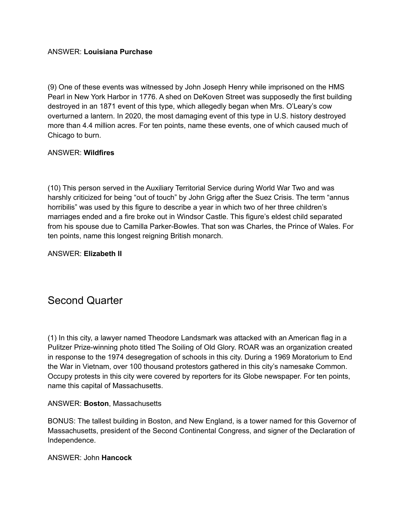# ANSWER: **Louisiana Purchase**

(9) One of these events was witnessed by John Joseph Henry while imprisoned on the HMS Pearl in New York Harbor in 1776. A shed on DeKoven Street was supposedly the first building destroyed in an 1871 event of this type, which allegedly began when Mrs. O'Leary's cow overturned a lantern. In 2020, the most damaging event of this type in U.S. history destroyed more than 4.4 million acres. For ten points, name these events, one of which caused much of Chicago to burn.

# ANSWER: **Wildfires**

(10) This person served in the Auxiliary Territorial Service during World War Two and was harshly criticized for being "out of touch" by John Grigg after the Suez Crisis. The term "annus horribilis" was used by this figure to describe a year in which two of her three children's marriages ended and a fire broke out in Windsor Castle. This figure's eldest child separated from his spouse due to Camilla Parker-Bowles. That son was Charles, the Prince of Wales. For ten points, name this longest reigning British monarch.

ANSWER: **Elizabeth II**

# Second Quarter

(1) In this city, a lawyer named Theodore Landsmark was attacked with an American flag in a Pulitzer Prize-winning photo titled The Soiling of Old Glory. ROAR was an organization created in response to the 1974 desegregation of schools in this city. During a 1969 Moratorium to End the War in Vietnam, over 100 thousand protestors gathered in this city's namesake Common. Occupy protests in this city were covered by reporters for its Globe newspaper. For ten points, name this capital of Massachusetts.

### ANSWER: **Boston**, Massachusetts

BONUS: The tallest building in Boston, and New England, is a tower named for this Governor of Massachusetts, president of the Second Continental Congress, and signer of the Declaration of Independence.

### ANSWER: John **Hancock**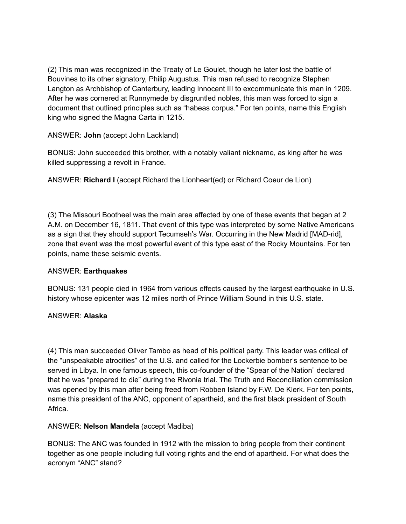(2) This man was recognized in the Treaty of Le Goulet, though he later lost the battle of Bouvines to its other signatory, Philip Augustus. This man refused to recognize Stephen Langton as Archbishop of Canterbury, leading Innocent III to excommunicate this man in 1209. After he was cornered at Runnymede by disgruntled nobles, this man was forced to sign a document that outlined principles such as "habeas corpus." For ten points, name this English king who signed the Magna Carta in 1215.

ANSWER: **John** (accept John Lackland)

BONUS: John succeeded this brother, with a notably valiant nickname, as king after he was killed suppressing a revolt in France.

ANSWER: **Richard I** (accept Richard the Lionheart(ed) or Richard Coeur de Lion)

(3) The Missouri Bootheel was the main area affected by one of these events that began at 2 A.M. on December 16, 1811. That event of this type was interpreted by some Native Americans as a sign that they should support Tecumseh's War. Occurring in the New Madrid [MAD-rid], zone that event was the most powerful event of this type east of the Rocky Mountains. For ten points, name these seismic events.

# ANSWER: **Earthquakes**

BONUS: 131 people died in 1964 from various effects caused by the largest earthquake in U.S. history whose epicenter was 12 miles north of Prince William Sound in this U.S. state.

# ANSWER: **Alaska**

(4) This man succeeded Oliver Tambo as head of his political party. This leader was critical of the "unspeakable atrocities" of the U.S. and called for the Lockerbie bomber's sentence to be served in Libya. In one famous speech, this co-founder of the "Spear of the Nation" declared that he was "prepared to die" during the Rivonia trial. The Truth and Reconciliation commission was opened by this man after being freed from Robben Island by F.W. De Klerk. For ten points, name this president of the ANC, opponent of apartheid, and the first black president of South Africa.

# ANSWER: **Nelson Mandela** (accept Madiba)

BONUS: The ANC was founded in 1912 with the mission to bring people from their continent together as one people including full voting rights and the end of apartheid. For what does the acronym "ANC" stand?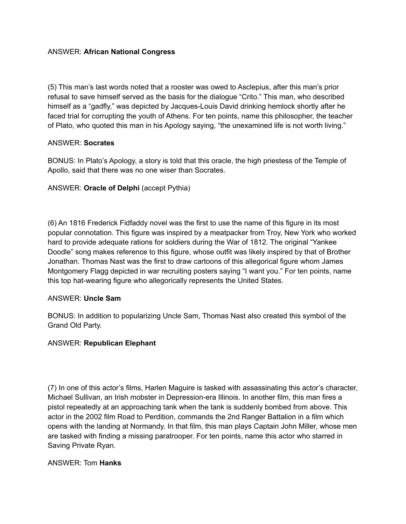# ANSWER: **African National Congress**

(5) This man's last words noted that a rooster was owed to Asclepius, after this man's prior refusal to save himself served as the basis for the dialogue "Crito." This man, who described himself as a "gadfly," was depicted by Jacques-Louis David drinking hemlock shortly after he faced trial for corrupting the youth of Athens. For ten points, name this philosopher, the teacher of Plato, who quoted this man in his Apology saying, "the unexamined life is not worth living."

### ANSWER: **Socrates**

BONUS: In Plato's Apology, a story is told that this oracle, the high priestess of the Temple of Apollo, said that there was no one wiser than Socrates.

# ANSWER: **Oracle of Delphi** (accept Pythia)

(6) An 1816 Frederick Fidfaddy novel was the first to use the name of this figure in its most popular connotation. This figure was inspired by a meatpacker from Troy, New York who worked hard to provide adequate rations for soldiers during the War of 1812. The original "Yankee Doodle" song makes reference to this figure, whose outfit was likely inspired by that of Brother Jonathan. Thomas Nast was the first to draw cartoons of this allegorical figure whom James Montgomery Flagg depicted in war recruiting posters saying "I want you." For ten points, name this top hat-wearing figure who allegorically represents the United States.

### ANSWER: **Uncle Sam**

BONUS: In addition to popularizing Uncle Sam, Thomas Nast also created this symbol of the Grand Old Party.

### ANSWER: **Republican Elephant**

(7) In one of this actor's films, Harlen Maguire is tasked with assassinating this actor's character, Michael Sullivan, an Irish mobster in Depression-era Illinois. In another film, this man fires a pistol repeatedly at an approaching tank when the tank is suddenly bombed from above. This actor in the 2002 film Road to Perdition, commands the 2nd Ranger Battalion in a film which opens with the landing at Normandy. In that film, this man plays Captain John Miller, whose men are tasked with finding a missing paratrooper. For ten points, name this actor who starred in Saving Private Ryan.

### ANSWER: Tom **Hanks**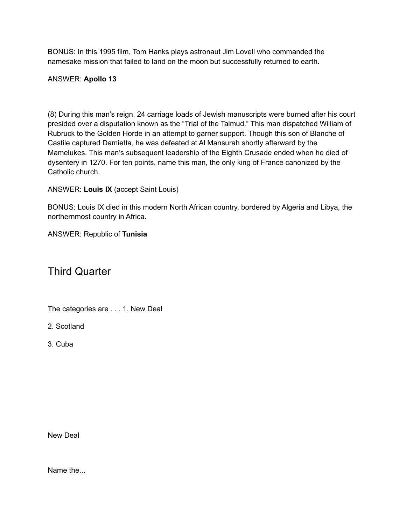BONUS: In this 1995 film, Tom Hanks plays astronaut Jim Lovell who commanded the namesake mission that failed to land on the moon but successfully returned to earth.

# ANSWER: **Apollo 13**

(8) During this man's reign, 24 carriage loads of Jewish manuscripts were burned after his court presided over a disputation known as the "Trial of the Talmud." This man dispatched William of Rubruck to the Golden Horde in an attempt to garner support. Though this son of Blanche of Castile captured Damietta, he was defeated at Al Mansurah shortly afterward by the Mamelukes. This man's subsequent leadership of the Eighth Crusade ended when he died of dysentery in 1270. For ten points, name this man, the only king of France canonized by the Catholic church.

ANSWER: **Louis IX** (accept Saint Louis)

BONUS: Louis IX died in this modern North African country, bordered by Algeria and Libya, the northernmost country in Africa.

ANSWER: Republic of **Tunisia**

# Third Quarter

The categories are . . . 1. New Deal

2. Scotland

3. Cuba

New Deal

Name the...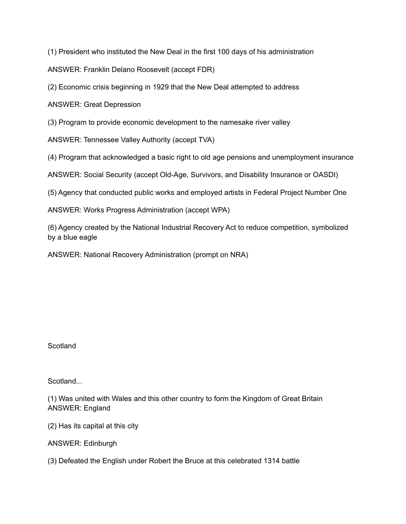(1) President who instituted the New Deal in the first 100 days of his administration

ANSWER: Franklin Delano Roosevelt (accept FDR)

(2) Economic crisis beginning in 1929 that the New Deal attempted to address

ANSWER: Great Depression

(3) Program to provide economic development to the namesake river valley

ANSWER: Tennessee Valley Authority (accept TVA)

(4) Program that acknowledged a basic right to old age pensions and unemployment insurance

ANSWER: Social Security (accept Old-Age, Survivors, and Disability Insurance or OASDI)

(5) Agency that conducted public works and employed artists in Federal Project Number One

ANSWER: Works Progress Administration (accept WPA)

(6) Agency created by the National Industrial Recovery Act to reduce competition, symbolized by a blue eagle

ANSWER: National Recovery Administration (prompt on NRA)

**Scotland** 

Scotland...

(1) Was united with Wales and this other country to form the Kingdom of Great Britain ANSWER: England

(2) Has its capital at this city

ANSWER: Edinburgh

(3) Defeated the English under Robert the Bruce at this celebrated 1314 battle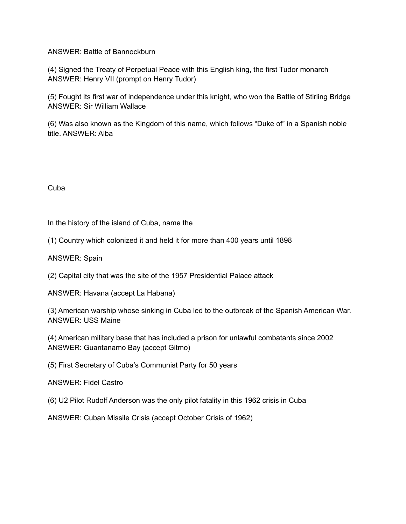### ANSWER: Battle of Bannockburn

(4) Signed the Treaty of Perpetual Peace with this English king, the first Tudor monarch ANSWER: Henry VII (prompt on Henry Tudor)

(5) Fought its first war of independence under this knight, who won the Battle of Stirling Bridge ANSWER: Sir William Wallace

(6) Was also known as the Kingdom of this name, which follows "Duke of" in a Spanish noble title. ANSWER: Alba

Cuba

In the history of the island of Cuba, name the

(1) Country which colonized it and held it for more than 400 years until 1898

ANSWER: Spain

(2) Capital city that was the site of the 1957 Presidential Palace attack

ANSWER: Havana (accept La Habana)

(3) American warship whose sinking in Cuba led to the outbreak of the Spanish American War. ANSWER: USS Maine

(4) American military base that has included a prison for unlawful combatants since 2002 ANSWER: Guantanamo Bay (accept Gitmo)

(5) First Secretary of Cuba's Communist Party for 50 years

ANSWER: Fidel Castro

(6) U2 Pilot Rudolf Anderson was the only pilot fatality in this 1962 crisis in Cuba

ANSWER: Cuban Missile Crisis (accept October Crisis of 1962)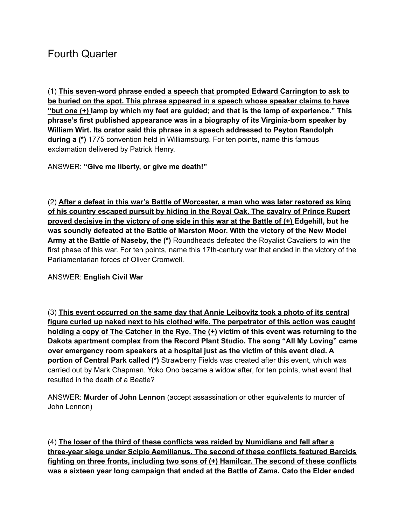# Fourth Quarter

(1) **This seven-word phrase ended a speech that prompted Edward Carrington to ask to be buried on the spot. This phrase appeared in a speech whose speaker claims to have "but one (+) lamp by which my feet are guided; and that is the lamp of experience." This phrase's first published appearance was in a biography of its Virginia-born speaker by William Wirt. Its orator said this phrase in a speech addressed to Peyton Randolph during a (\*)** 1775 convention held in Williamsburg. For ten points, name this famous exclamation delivered by Patrick Henry.

ANSWER: **"Give me liberty, or give me death!"**

(2) **After a defeat in this war's Battle of Worcester, a man who was later restored as king of his country escaped pursuit by hiding in the Royal Oak. The cavalry of Prince Rupert** proved decisive in the victory of one side in this war at the Battle of (+) Edgehill, but he **was soundly defeated at the Battle of Marston Moor. With the victory of the New Model Army at the Battle of Naseby, the (\*)** Roundheads defeated the Royalist Cavaliers to win the first phase of this war. For ten points, name this 17th-century war that ended in the victory of the Parliamentarian forces of Oliver Cromwell.

# ANSWER: **English Civil War**

(3) **This event occurred on the same day that Annie Leibovitz took a photo of its central figure curled up naked next to his clothed wife. The perpetrator of this action was caught holding a copy of The Catcher in the Rye. The (+) victim of this event was returning to the Dakota apartment complex from the Record Plant Studio. The song "All My Loving" came over emergency room speakers at a hospital just as the victim of this event died. A portion of Central Park called (\*)** Strawberry Fields was created after this event, which was carried out by Mark Chapman. Yoko Ono became a widow after, for ten points, what event that resulted in the death of a Beatle?

ANSWER: **Murder of John Lennon** (accept assassination or other equivalents to murder of John Lennon)

(4) **The loser of the third of these conflicts was raided by Numidians and fell after a three-year siege under Scipio Aemilianus. The second of these conflicts featured Barcids fighting on three fronts, including two sons of (+) Hamilcar. The second of these conflicts was a sixteen year long campaign that ended at the Battle of Zama. Cato the Elder ended**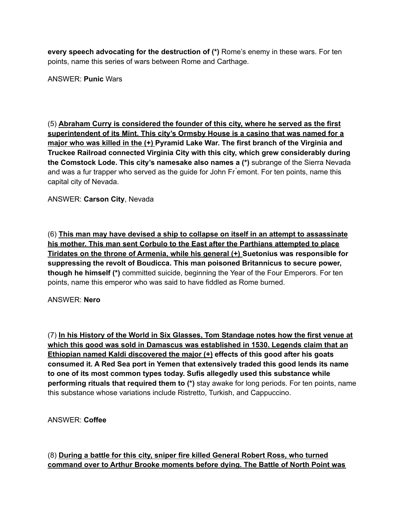**every speech advocating for the destruction of (\*)** Rome's enemy in these wars. For ten points, name this series of wars between Rome and Carthage.

ANSWER: **Punic** Wars

(5) **Abraham Curry is considered the founder of this city, where he served as the first superintendent of its Mint. This city's Ormsby House is a casino that was named for a major who was killed in the (+) Pyramid Lake War. The first branch of the Virginia and Truckee Railroad connected Virginia City with this city, which grew considerably during the Comstock Lode. This city's namesake also names a (\*)** subrange of the Sierra Nevada and was a fur trapper who served as the guide for John Fr emont. For ten points, name this capital city of Nevada.

ANSWER: **Carson City**, Nevada

(6) **This man may have devised a ship to collapse on itself in an attempt to assassinate his mother. This man sent Corbulo to the East after the Parthians attempted to place Tiridates on the throne of Armenia, while his general (+) Suetonius was responsible for suppressing the revolt of Boudicca. This man poisoned Britannicus to secure power, though he himself (\*)** committed suicide, beginning the Year of the Four Emperors. For ten points, name this emperor who was said to have fiddled as Rome burned.

### ANSWER: **Nero**

(7) **In his History of the World in Six Glasses, Tom Standage notes how the first venue at which this good was sold in Damascus was established in 1530. Legends claim that an Ethiopian named Kaldi discovered the major (+) effects of this good after his goats consumed it. A Red Sea port in Yemen that extensively traded this good lends its name to one of its most common types today. Sufis allegedly used this substance while performing rituals that required them to (\*)** stay awake for long periods. For ten points, name this substance whose variations include Ristretto, Turkish, and Cappuccino.

ANSWER: **Coffee**

(8) **During a battle for this city, sniper fire killed General Robert Ross, who turned command over to Arthur Brooke moments before dying. The Battle of North Point was**